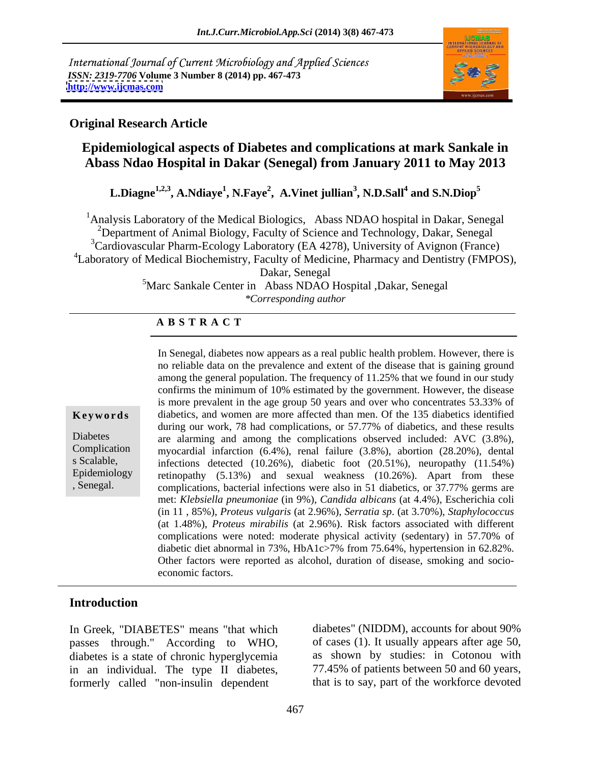International Journal of Current Microbiology and Applied Sciences *ISSN: 2319-7706* **Volume 3 Number 8 (2014) pp. 467-473 <http://www.ijcmas.com>**



## **Original Research Article**

# **Epidemiological aspects of Diabetes and complications at mark Sankale in Abass Ndao Hospital in Dakar (Senegal) from January 2011 to May 2013**

**L.Diagne1,2,3 , A.Ndiaye<sup>1</sup> , N.Faye<sup>2</sup> , A.Vinet jullian<sup>3</sup> , N.D.Sall<sup>4</sup> and S.N.Diop<sup>5</sup>**

<sup>1</sup>Analysis Laboratory of the Medical Biologics, Abass NDAO hospital in Dakar, Senegal <sup>2</sup>Department of Animal Biology, Faculty of Science and Technology, Dakar, Senegal 3Cardiovascular Pharm-Ecology Laboratory (EA 4278), University of Avignon (France) <sup>4</sup>Laboratory of Medical Biochemistry, Faculty of Medicine, Pharmacy and Dentistry (FMPOS), Dakar, Senegal

5Marc Sankale Center in Abass NDAO Hospital ,Dakar, Senegal *\*Corresponding author*

## **A B S T R A C T**

|  | Keywords |  |  |  |  |  |
|--|----------|--|--|--|--|--|
|--|----------|--|--|--|--|--|

**Keywords** diabetics, and women are more affected than men. Of the 135 diabetics identified Diabetes are alarming and among the complications observed included: AVC (3.8%), Complication myocardial infarction (6.4%), renal failure (3.8%), abortion (28.20%), dental s Scalable, infections detected (10.26%), diabetic foot (20.51%), neuropathy (11.54%) Epidemiology retinopathy (5.13%) and sexual weakness (10.26%). Apart from these , Senegal. complications, bacterial infections were also in 51 diabetics, or 37.77% germs are In Senegal, diabetes now appears as a real public health problem. However, there is no reliable data on the prevalence and extent of the disease that is gaining ground among the general population. The frequency of 11.25% that we found in our study confirms the minimum of 10% estimated by the government. However, the disease is more prevalent in the age group 50 years and over who concentrates 53.33% of during our work, 78 had complications, or 57.77% of diabetics, and these results met: *Klebsiella pneumoniae* (in 9%), *Candida albicans* (at 4.4%), Escherichia coli (in 11 , 85%), *Proteus vulgaris* (at 2.96%), *Serratia sp*. (at 3.70%), *Staphylococcus* (at 1.48%), *Proteus mirabilis* (at 2.96%). Risk factors associated with different complications were noted: moderate physical activity (sedentary) in 57.70% of diabetic diet abnormal in 73%, HbA1c>7% from 75.64%, hypertension in 62.82%. Other factors were reported as alcohol, duration of disease, smoking and socio economic factors.

# **Introduction**

In Greek, "DIABETES" means "that which passes through." According to WHO, diabetes is a state of chronic hyperglycemia in an individual. The type II diabetes, 77.45% of patients between 50 and 60 years, formerly called "non-insulin dependent

diabetes" (NIDDM), accounts for about 90% of cases (1). It usually appears after age 50, as shown by studies: in Cotonou with that is to say, part of the workforce devoted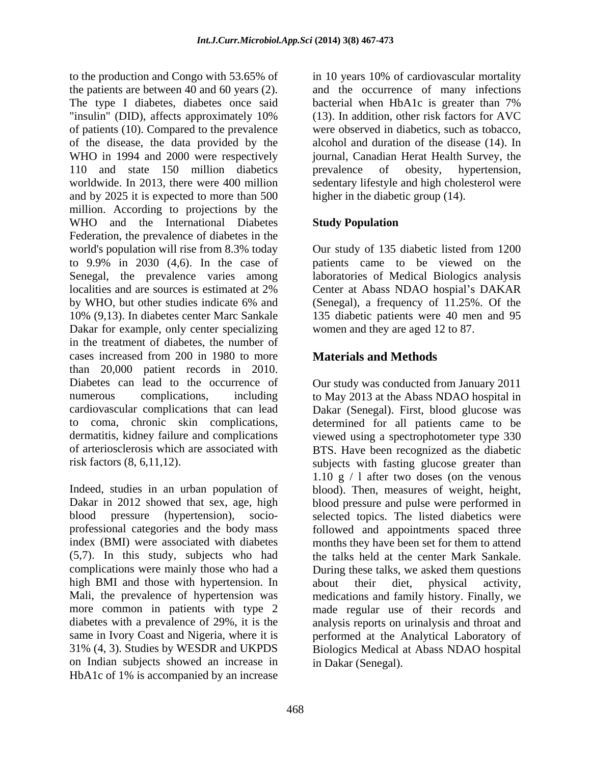to the production and Congo with 53.65% of in 10 years 10% of cardiovascular mortality the patients are between 40 and 60 years (2). and the occurrence of many infections The type I diabetes, diabetes once said bacterial when HbA1c is greater than 7% "insulin" (DID), affects approximately 10% (13). In addition, other risk factors for AVC of patients (10). Compared to the prevalence of the disease, the data provided by the WHO in 1994 and 2000 were respectively journal, Canadian Herat Health Survey, the 110 and state 150 million diabetics prevalence of obesity, hypertension, worldwide. In 2013, there were 400 million sedentary lifestyle and high cholesterol were and by 2025 it is expected to more than 500 million. According to projections by the WHO and the International Diabetes Study Population Federation, the prevalence of diabetes in the world's population will rise from 8.3% today Our study of 135 diabetic listed from 1200 to 9.9% in 2030 (4,6). In the case of patients came to be viewed on the Senegal, the prevalence varies among laboratories of Medical Biologics analysis localities and are sources is estimated at 2% Center at Abass NDAO hospial's DAKAR by WHO, but other studies indicate 6% and (Senegal), a frequency of 11.25%. Of the 10% (9,13). In diabetes center Marc Sankale 135 diabetic patients were 40 men and 95 Dakar for example, only center specializing in the treatment of diabetes, the number of cases increased from 200 in 1980 to more than 20,000 patient records in 2010. Diabetes can lead to the occurrence of Our study was conducted from January 2011 numerous complications, including to May 2013 at the Abass NDAO hospital in cardiovascular complications that can lead Dakar (Senegal). First, blood glucose was to coma, chronic skin complications, determined for all patients came to be dermatitis, kidney failure and complications viewed using a spectrophotometer type 330 of arteriosclerosis which are associated with BTS. Have been recognized as the diabetic

Indeed, studies in an urban population of blood). Then, measures of weight, height, Dakar in 2012 showed that sex, age, high blood pressure and pulse were performed in blood pressure (hypertension), socio- selected topics. The listed diabetics were professional categories and the body mass followed and appointments spaced three index (BMI) were associated with diabetes months they have been set for them to attend (5,7). In this study, subjects who had complications were mainly those who had a During these talks, we asked them questions high BMI and those with hypertension. In about their diet, physical activity, Mali, the prevalence of hypertension was medications and family history. Finally, we more common in patients with type 2 made regular use of their records and diabetes with a prevalence of 29%, it is the analysis reports on urinalysis and throat and same in Ivory Coast and Nigeria, where it is performed at the Analytical Laboratory of 31% (4, 3). Studies by WESDR and UKPDS Biologics Medical at Abass NDAO hospital on Indian subjects showed an increase in HbA1c of 1% is accompanied by an increase

bacterial when HbA1c is greater than 7% (13). In addition, other risk factors for AVC were observed in diabetics, such as tobacco, alcohol and duration of the disease (14). In prevalence of obesity, hypertension, higher in the diabetic group (14).

# **Study Population**

Center at Abass NDAO hospial's DAKAR women and they are aged 12 to 87.

# **Materials and Methods**

risk factors (8, 6,11,12). subjects with fasting glucose greater than 1.10 g / l after two doses (on the venous the talks held at the center Mark Sankale. about their diet, physical activity, in Dakar (Senegal).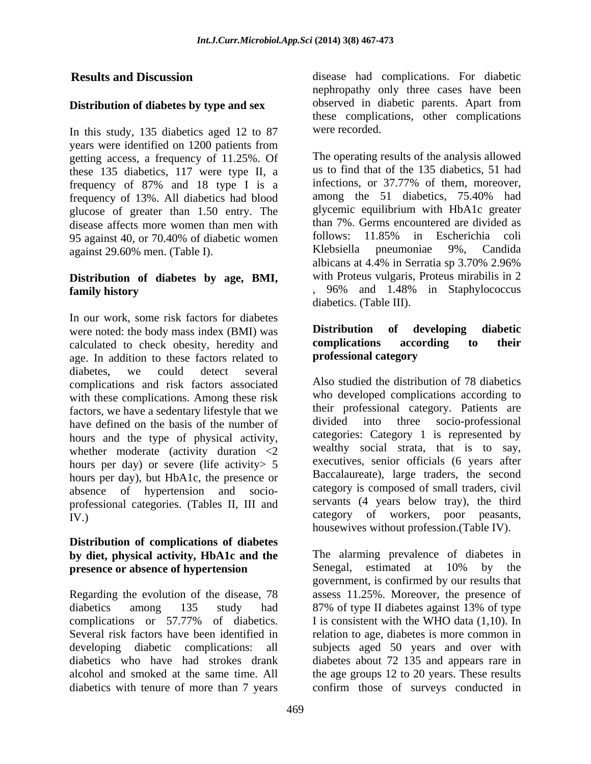#### **Distribution of diabetes by type and sex**

In this study, 135 diabetics aged 12 to 87 were recorded. years were identified on 1200 patients from getting access, a frequency of 11.25%. Of these 135 diabetics, 117 were type II, a us to find that of the 135 diabetics, 51 had frequency of  $87\%$  and 18 type I is a infections, or 37.77% of them, moreover, frequency of 87% and 18 type I is a infections, or 37.77% of them, moreover, frequency of 13% All diabetics had blood among the 51 diabetics, 75.40% had frequency of 13%. All diabetics had blood glucose of greater than 1.50 entry. The disease affects more women than men with than 7%. Germs encountered are divided as<br>95 against 40 or 70,40% of diabetic women follows: 11.85% in Escherichia coli 95 against 40, or 70.40% of diabetic women follows: 11.85% in Escherichia coli<br>against 29.60% men. (Table I). Klebsiella pneumoniae 9%, Candida against 29.60% men. (Table I).

#### **Distribution of diabetes by age, BMI, family history**  $\cdot$   $\cdot$   $\cdot$   $\cdot$   $\cdot$   $\cdot$   $\cdot$  96% and 1.48% in Staphylococcus

In our work, some risk factors for diabetes<br>were noted: the body mass index (BMI) was **Distribution** of **developing** diabetic were noted: the body mass index (BMI) was **Distribution of developing diabetic**<br>calculated to check obesity heredity and **complications according to their** calculated to check obesity, heredity and **complications according to** age. In addition to these factors related to **professional category** age. In addition to these factors related to diabetes, we could detect several complications and risk factors associated with these complications. Among these risk factors, we have a sedentary lifestyle that we defined on the basis of the number of divided into three socio-professional have defined on the basis of the number of hours per day) or severe (life activity > 5 hours per day), but HbA1c, the presence or professional categories. (Tables II, III and servants (4 years below tray), the third category of workers, poor peasants,

### **Distribution of complications of diabetes by** diet, physical activity, HbA1c and the The alarming prevalence of d<br>presence or absence of hypertension Senegal, estimated at 10% **presence or absence of hypertension** Senegal, estimated at 10% by the

diabetics among 135 study had 87% of type II diabetes against 13% of type diabetics with tenure of more than 7 years

**Results and Discussion** disease had complications. For diabetic nephropathy only three cases have been observed in diabetic parents. Apart from these complications, other complications were recorded.

> The operating results of the analysis allowed us to find that of the 135 diabetics, 51 had infections, or 37.77% of them, moreover, among the 51 diabetics, 75.40% had glycemic equilibrium with HbA1c greater than 7%. Germs encountered are divided as follows: 11.85% in Escherichia coli Klebsiella pneumoniae 9%, Candida albicans at 4.4% in Serratia sp 3.70% 2.96% with Proteus vulgaris, Proteus mirabilis in 2 , 96% and 1.48% in Staphylococcus diabetics. (Table III).

### **Distribution of developing diabetic complications according to their professional category**

hours and the type of physical activity, categories: Category I is represented by whether moderate (activity duration  $\langle 2 \rangle$  wealthy social strata, that is to say, absence of hypertension and socio-<br>category is composed of small traders, civil IV.) Category of workers, poor peasants, Also studied the distribution of 78 diabetics who developed complications according to their professional category. Patients are divided into three socio-professional categories: Category 1 is represented by wealthy social strata, that is to say, executives, senior officials (6 years after Baccalaureate), large traders, the second servants (4 years below tray), the third housewives without profession.(Table IV).

Regarding the evolution of the disease, 78 assess 11.25%. Moreover, the presence of complications or  $57.77\%$  of diabetics. I is consistent with the WHO data  $(1,10)$ . In Several risk factors have been identified in relation to age, diabetes is more common in developing diabetic complications: all subjects aged 50 years and over with diabetics who have had strokes drank diabetes about 72 135 and appears rare in alcohol and smoked at the same time. All the age groups 12 to 20 years. These results The alarming prevalence of diabetes in Senegal, estimated at 10% by the government, is confirmed by our results that 87% of type II diabetes against 13% of type I is consistent with the WHO data (1,10). In confirm those of surveys conducted in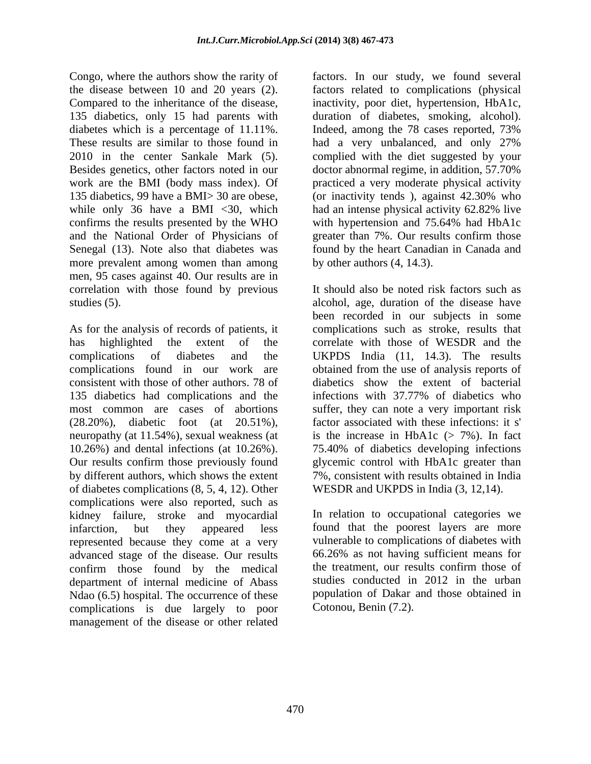Congo, where the authors show the rarity of factors. In our study, we found several the disease between 10 and 20 years (2). factors related to complications (physical Compared to the inheritance of the disease, inactivity, poor diet, hypertension, HbA1c, 135 diabetics, only 15 had parents with duration of diabetes, smoking, alcohol). diabetes which is a percentage of 11.11%. Indeed, among the 78 cases reported, 73% These results are similar to those found in had a very unbalanced, and only 27% 2010 in the center Sankale Mark (5). complied with the diet suggested by your Besides genetics, other factors noted in our doctor abnormal regime, in addition, 57.70% work are the BMI (body mass index). Of 135 diabetics, 99 have a BMI> 30 are obese, (or inactivity tends ), against 42.30% who while only 36 have a BMI  $\langle 30, \text{ which} \rangle$  had an intense physical activity 62.82% live confirms the results presented by the WHO with hypertension and 75.64% had HbA1c and the National Order of Physicians of greater than 7%. Our results confirm those Senegal (13). Note also that diabetes was found by the heart Canadian in Canada and more prevalent among women than among men, 95 cases against 40. Our results are in correlation with those found by previous

consistent with those of other authors. 78 of 135 diabetics had complications and the infections with 37.77% of diabetics who of diabetes complications (8, 5, 4, 12). Other complications were also reported, such as kidney failure, stroke and myocardial infarction, but they appeared less found that the poorest layers are more represented because they come at a very advanced stage of the disease. Our results  $66.26\%$  as not having sufficient means for confirm those found by the medical the treatment, our results confirm those of confirm those found by the medical department of internal medicine of Abass Ndao (6.5) hospital. The occurrence of these complications is due largely to poor management of the disease or other related

Indeed, among the 78 cases reported, 73% practiced a very moderate physical activity had an intense physical activity 62.82% live by other authors (4, 14.3).

studies (5). alcohol, age, duration of the disease have As for the analysis of records of patients, it complications such as stroke, results that has highlighted the extent of the correlate with those of WESDR and the complications of diabetes and the UKPDS India (11, 14.3). The results complications found in our work are obtained from the use of analysisreports of most common are cases of abortions suffer, they can note a very important risk (28.20%), diabetic foot (at 20.51%), factor associated with these infections: it s' neuropathy (at 11.54%), sexual weakness (at is the increase in HbA1c (> 7%). In fact 10.26%) and dental infections (at 10.26%). 75.40% of diabetics developing infections Our results confirm those previously found glycemic control with HbA1c greater than by different authors, which shows the extent 7%, consistent with results obtained in India It should also be noted risk factors such as been recorded in our subjects in some diabetics show the extent of bacterial infections with 37.77% of diabetics who factor associated with these infections: it s' is the increase in HbA1c  $(> 7\%)$ . In fact WESDR and UKPDS in India (3, 12,14).

> In relation to occupational categories we vulnerable to complications of diabetes with 66.26% as not having sufficient means for the treatment, our results confirm those of studies conducted in 2012 in the urban population of Dakar and those obtained in Cotonou, Benin (7.2).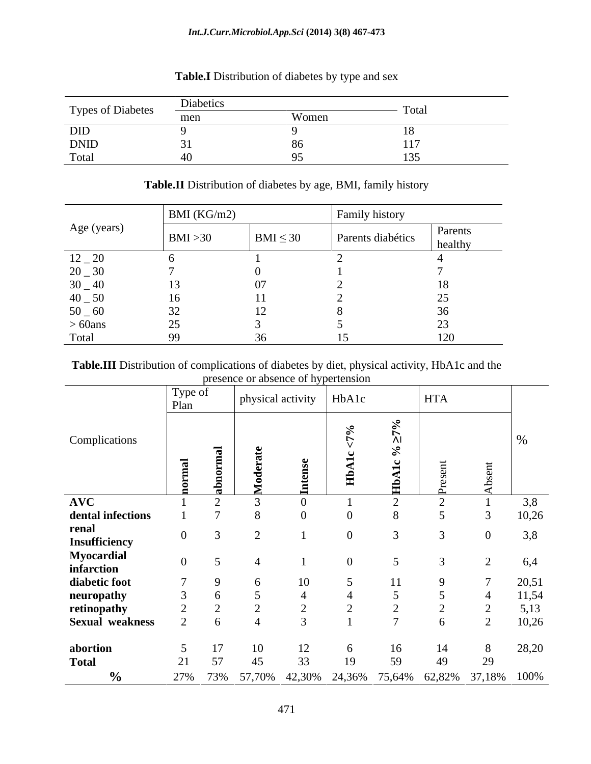#### *Int.J.Curr.Microbiol.App.Sci* **(2014) 3(8) 467-473**

|                   | Diabetics   |        |      |
|-------------------|-------------|--------|------|
| Types of Diabetes | man<br>THUT | / OIIR | 1011 |
| DID               |             |        |      |
| <b>DNID</b>       |             |        |      |
| Total             |             |        |      |

# **Table.I** Distribution of diabetes by type and sex

|             | BMI (KG/m2)    |                | Family history    |                      |
|-------------|----------------|----------------|-------------------|----------------------|
| Age (years) | BMI > 30       | $BMI \leq 30$  | Parents diabétics | Parents<br>  healthy |
| $12 - 20$   |                |                |                   |                      |
| $20 - 30$   |                |                |                   |                      |
| $30 - 40$   | 13             | $\Omega$<br>U/ |                   |                      |
| $40 - 50$   | 16             |                |                   |                      |
| $50-60$     | $\Omega$       | - -<br>⊥ ∠     |                   |                      |
| $> 60$ ans  | $\gamma$<br>رے |                |                   |                      |
| Total       | $\Omega$       | $\sim$         |                   | 120                  |

#### **Table.II** Distribution of diabetes by age, BMI, family history

#### **Table.III** Distribution of complications of diabetes by diet, physical activity, HbA1c and the presence or absence of hypertension

|                                                  |                   |  | presence of absence of hypertension     |  |            |                                                        |       |
|--------------------------------------------------|-------------------|--|-----------------------------------------|--|------------|--------------------------------------------------------|-------|
|                                                  | Type of<br>  Plan |  | $\vert$ physical activity $\vert$ HbA1c |  | <b>HTA</b> |                                                        |       |
| Complications                                    |                   |  |                                         |  |            |                                                        |       |
|                                                  |                   |  |                                         |  |            |                                                        |       |
|                                                  |                   |  |                                         |  |            |                                                        |       |
| $\bf{AVC}$                                       |                   |  |                                         |  |            |                                                        |       |
| dental infections                                |                   |  |                                         |  |            |                                                        | 10,26 |
| renal                                            |                   |  |                                         |  |            |                                                        |       |
| <b>Insufficiency</b><br>Myocardial<br>infarction | $\Omega$          |  |                                         |  |            |                                                        | 6.4   |
| diabetic foot                                    |                   |  |                                         |  |            |                                                        | 20,51 |
| neuropathy                                       |                   |  |                                         |  |            |                                                        | 11,54 |
| retinopathy                                      |                   |  |                                         |  |            |                                                        |       |
| <b>Sexual weakness</b>                           |                   |  |                                         |  |            |                                                        | 10,26 |
|                                                  |                   |  |                                         |  |            |                                                        |       |
| abortion                                         |                   |  |                                         |  |            |                                                        | 28,20 |
| <b>Total</b>                                     |                   |  |                                         |  |            |                                                        |       |
| $\%$<br>$\sim$ $\sim$ $\sim$ $\sim$              |                   |  |                                         |  |            | 27% 73% 57,70% 42,30% 24,36% 75,64% 62,82% 37,18% 100% |       |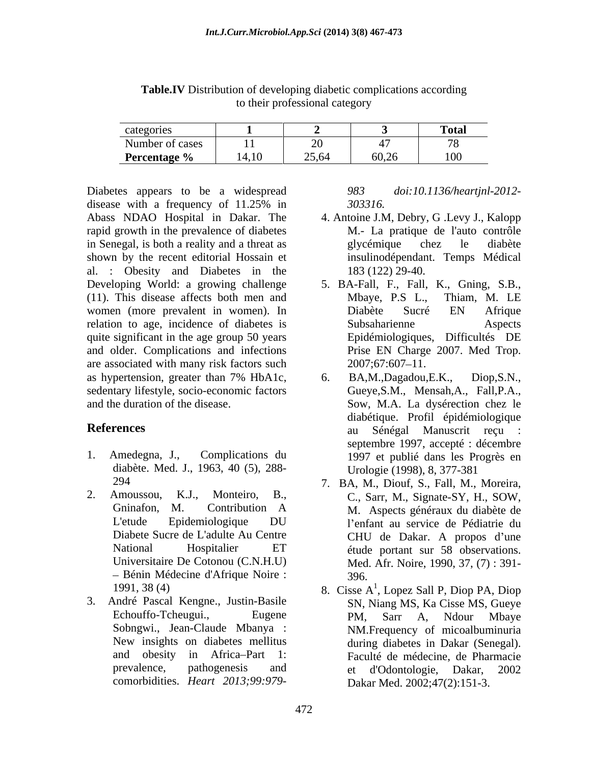| categories          |       |               |                        | Total      |
|---------------------|-------|---------------|------------------------|------------|
| Number of cases     | $-11$ | $\sim$ $\sim$ | $\overline{A}$         | $\sqrt{2}$ |
| <b>Percentage</b> % | 14,10 | 25.64         | $\sim$ $\sim$<br>00,20 | 100        |

**Table.IV** Distribution of developing diabetic complications according to their professional category

Diabetes appears to be a widespread 983 doi:10.1136/heartjnl-2012disease with a frequency of  $11.25\%$  in  $303316$ . Abass NDAO Hospital in Dakar. The 4. Antoine J.M, Debry, G. Levy J., Kalopp rapid growth in the prevalence of diabetes in Senegal, is both a reality and a threat as shown by the recent editorial Hossain et al. : Obesity and Diabetes in the (11). This disease affects both men and women (more prevalent in women). In relation to age, incidence of diabetes is quite significant in the age group 50 years and older. Complications and infections are associated with many risk factors such  $2007;67:607-11$ . as hypertension, greater than 7% HbA1c,  $\qquad 6.$  BA,M.,Dagadou,E.K., Diop,S.N., sedentary lifestyle, socio-economic factors comorbidities approach to be a well-comorbidities in Daklar and the DAO How in the proper and is DAO How in the prevalence of diabetes. **A.** Antoine JM, Debry, G.Levy J., Kalopp<br>
growth in the prevalence of diabetes. **M.**

- diabète. Med. J., 1963, 40 (5), 288-
- Bénin Médecine d'Afrique Noire : 396.
- 3. André Pascal Kengne., Justin-Basile

- M.- La pratique de l'auto contrôle glycémique chez le diabète insulinodépendant. Temps Médical 183 (122) 29-40.
- Developing World: a growing challenge 5. BA-Fall, F., Fall, K., Gning, S.B., Mbaye, P.S L., Thiam, M. LE Diabète Sucré EN Afrique Subsaharienne Aspects Epidémiologiques, Difficultés DE Prise EN Charge 2007. Med Trop. 2007;67:607 11.
- and the duration of the disease. Sow, M.A. La dysérection chez le **References** au Sénégal Manuscrit reçu : 1. Amedegna, J., Complications du 1997 et publié dans les Progrès en 6. BA,M.,Dagadou,E.K., Diop,S.N., Gueye,S.M., Mensah,A., Fall,P.A., diabétique. Profil épidémiologique septembre 1997, accepté : décembre Urologie (1998), 8, 377-381
- 294 7. BA, M., Diouf, S., Fall, M., Moreira, 2. Amoussou, K.J., Monteiro, B., C., Sarr, M., Signate-SY, H., SOW, Gninafon, M. Contribution A L'etude Epidemiologique DU Diabete Sucre de L'adulte Au Centre<br>
CHU de Dakar. A propos d'une National Hospitalier ET étude portant sur 58 observations. Universitaire De Cotonou (C.N.H.U) Med. Afr. Noire, 1990, 37, (7) : 391- M. Aspects généraux du diabète de l'enfant au service de Pédiatrie du CHU de Dakar. A propos d'une 396.
	- 1991, 38 (4)  $\qquad \qquad$  8. Cisse A<sup>1</sup>, Lopez Sall P, Diop PA, Diop Echouffo-Tcheugui., Eugene PM, Sarr A, Ndour Mbaye Sobngwi., Jean-Claude Mbanya : NM.Frequency of micoalbuminuria New insights on diabetes mellitus during diabetes in Dakar (Senegal). and obesity in Africa-Part 1: Faculté de médecine, de Pharmacie prevalence, pathogenesis and et d'Odontologie, Dakar, 2002 SN, Niang MS, Ka Cisse MS, Gueye PM, Sarr A, Ndour Mbaye during diabetes in Dakar (Senegal). Faculté de médecine, de Pharmacie Dakar Med. 2002;47(2):151-3.